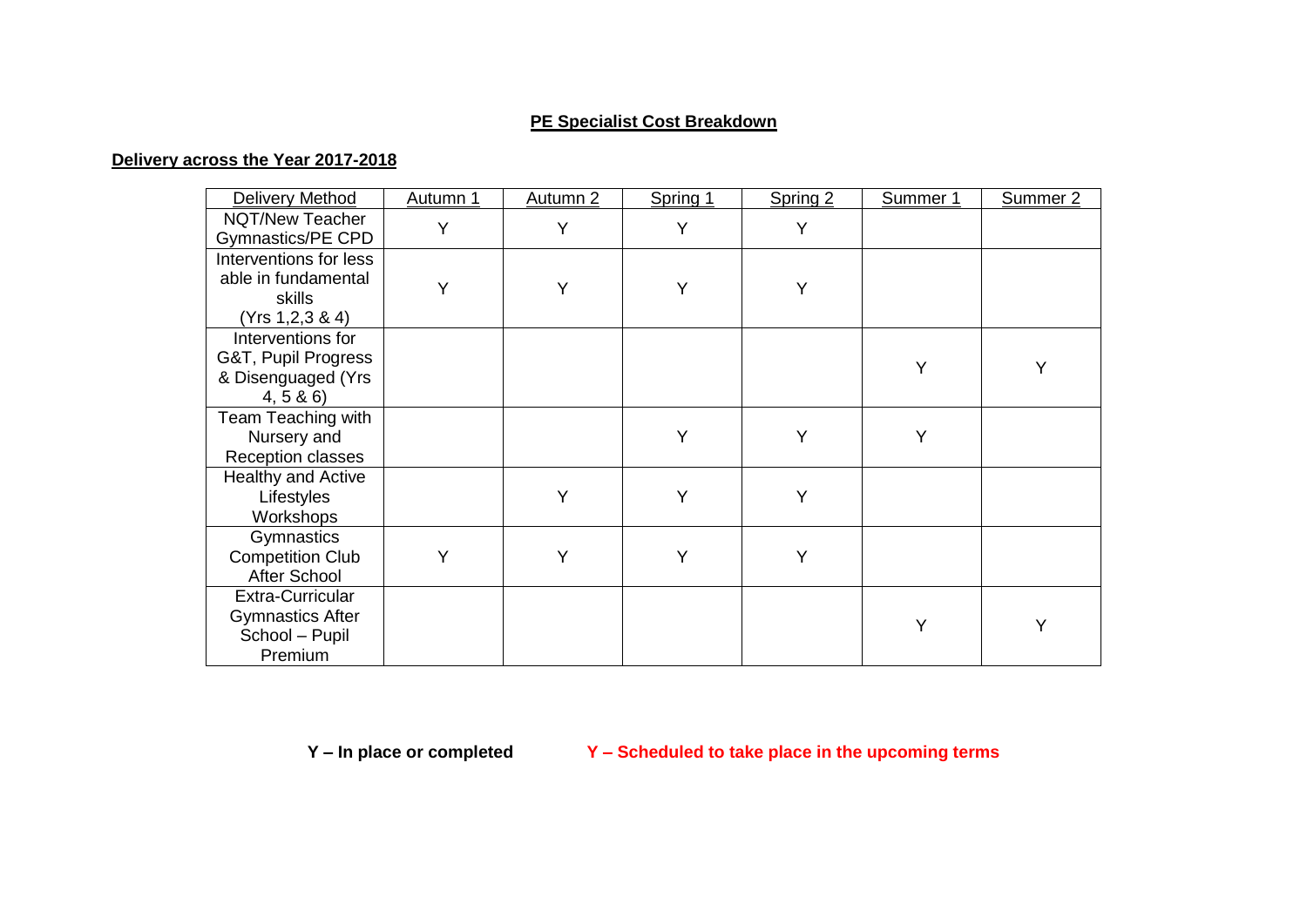## **PE Specialist Cost Breakdown**

## **Delivery across the Year 2017-2018**

| Delivery Method                                                              | Autumn 1 | Autumn 2 | Spring 1 | Spring 2 | Summer 1 | Summer <sub>2</sub> |
|------------------------------------------------------------------------------|----------|----------|----------|----------|----------|---------------------|
| NQT/New Teacher<br>Gymnastics/PE CPD                                         | Y        | Y        | Y        | Y        |          |                     |
| Interventions for less<br>able in fundamental<br>skills<br>(Yrs 1, 2, 3 & 4) | Y        | Υ        | Y        | Y        |          |                     |
| Interventions for<br>G&T, Pupil Progress<br>& Disenguaged (Yrs<br>4, 5 & 6   |          |          |          |          | Y        |                     |
| Team Teaching with<br>Nursery and<br>Reception classes                       |          |          | Υ        | Υ        | Y        |                     |
| <b>Healthy and Active</b><br>Lifestyles<br>Workshops                         |          | Y        | Υ        | Y        |          |                     |
| Gymnastics<br><b>Competition Club</b><br><b>After School</b>                 | Y        | Υ        | Υ        | Y        |          |                     |
| Extra-Curricular<br><b>Gymnastics After</b><br>School - Pupil<br>Premium     |          |          |          |          | Y        | Y                   |

**Y – In place or completed Y – Scheduled to take place in the upcoming terms**